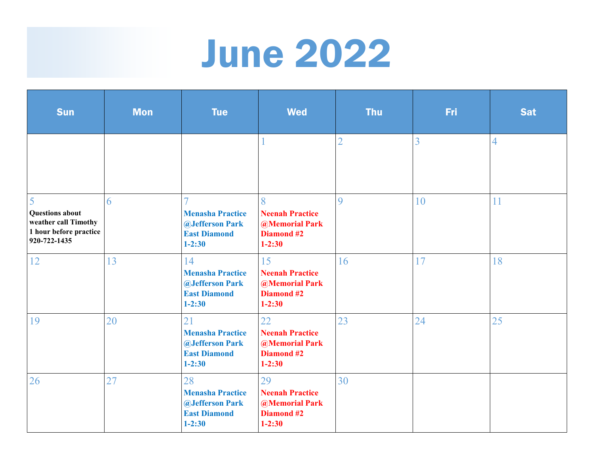## June 2022

| <b>Sun</b>                                                                                    | <b>Mon</b> | <b>Tue</b>                                                                                           | <b>Wed</b>                                                                        | <b>Thu</b>     | Fri | <b>Sat</b>     |
|-----------------------------------------------------------------------------------------------|------------|------------------------------------------------------------------------------------------------------|-----------------------------------------------------------------------------------|----------------|-----|----------------|
|                                                                                               |            |                                                                                                      |                                                                                   | $\overline{2}$ | 3   | $\overline{4}$ |
| 5<br><b>Questions about</b><br>weather call Timothy<br>1 hour before practice<br>920-722-1435 | 6          | <b>Menasha Practice</b><br><b><i><u>@Jefferson Park</u></i></b><br><b>East Diamond</b><br>$1 - 2:30$ | 8<br><b>Neenah Practice</b><br><b>@Memorial Park</b><br>Diamond #2<br>$1 - 2:30$  | $\overline{Q}$ | 10  | 11             |
| 12                                                                                            | 13         | 14<br><b>Menasha Practice</b><br>@Jefferson Park<br><b>East Diamond</b><br>$1 - 2:30$                | 15<br><b>Neenah Practice</b><br><b>@Memorial Park</b><br>Diamond #2<br>$1 - 2:30$ | 16             | 17  | 18             |
| 19                                                                                            | 20         | 21<br><b>Menasha Practice</b><br><b>@Jefferson Park</b><br><b>East Diamond</b><br>$1 - 2:30$         | 22<br><b>Neenah Practice</b><br><b>@Memorial Park</b><br>Diamond #2<br>$1 - 2:30$ | 23             | 24  | 25             |
| 26                                                                                            | 27         | 28<br><b>Menasha Practice</b><br><b><i>@Jefferson Park</i></b><br><b>East Diamond</b><br>$1 - 2:30$  | 29<br><b>Neenah Practice</b><br><b>@Memorial Park</b><br>Diamond #2<br>$1 - 2:30$ | 30             |     |                |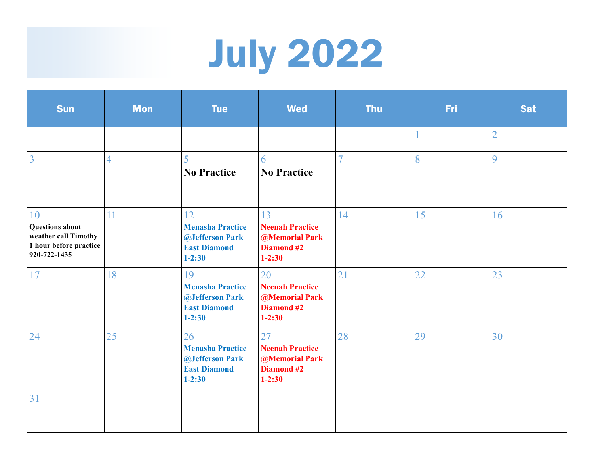## July 2022

| <b>Sun</b>                                                                                     | <b>Mon</b>     | <b>Tue</b>                                                                                                 | <b>Wed</b>                                                                        | <b>Thu</b> | Fri | <b>Sat</b>     |
|------------------------------------------------------------------------------------------------|----------------|------------------------------------------------------------------------------------------------------------|-----------------------------------------------------------------------------------|------------|-----|----------------|
|                                                                                                |                |                                                                                                            |                                                                                   |            |     | $\overline{2}$ |
| $\overline{3}$                                                                                 | $\overline{4}$ | 5<br><b>No Practice</b>                                                                                    | 6<br><b>No Practice</b>                                                           |            | 8   | 9              |
| 10<br><b>Questions about</b><br>weather call Timothy<br>1 hour before practice<br>920-722-1435 | 11             | 12<br><b>Menasha Practice</b><br><b>@Jefferson Park</b><br><b>East Diamond</b><br>$1 - 2:30$               | 13<br><b>Neenah Practice</b><br><b>@Memorial Park</b><br>Diamond #2<br>$1 - 2:30$ | 14         | 15  | 16             |
| 17                                                                                             | 18             | 19<br><b>Menasha Practice</b><br><b>@Jefferson Park</b><br><b>East Diamond</b><br>$1 - 2:30$               | 20<br><b>Neenah Practice</b><br><b>@Memorial Park</b><br>Diamond #2<br>$1 - 2:30$ | 21         | 22  | 23             |
| 24                                                                                             | 25             | 26<br><b>Menasha Practice</b><br><b><i><u>@Jefferson Park</u></i></b><br><b>East Diamond</b><br>$1 - 2:30$ | 27<br><b>Neenah Practice</b><br><b>@Memorial Park</b><br>Diamond #2<br>$1 - 2:30$ | 28         | 29  | 30             |
| 31                                                                                             |                |                                                                                                            |                                                                                   |            |     |                |